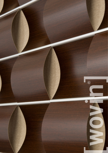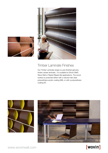



### Timber Laminate Finishes

Our Timber Laminate range is a pre-finished genuine timber veneer laminate. It is suitable for Wovin Wall®, Wave Wall or Ripple (Ripple tile) applications. The wood surface is protected either with a natural matt clear polyurethane acrylic coating (SB), or with a polyurethane coating (P).





# [wovin]

www.wovinwall.com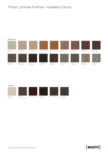## Timber Laminate Finishes / Available Colours

#### Navlam SB



Navlam SB Oak



Navlam SB Teak

Navlam SB Bunya

Navlam SB Bella Noce





Navlam SB Ebano Rosso



Navlam SB Albeige

Navlam SB Grey Gum

Navlam SB Arcadian Oak



Navlam SB Sable Oak

Navlam SB Brown Oak

Carobo

Navlam SB

Navlam SB Pepper Oak

Navlam SB French Oak

#### Navlam P



Snow Birch



Olive Blueberry





Navlam P Navlam P Navlam P Barossa Navlam P Navlam P Matai Ebano Noce



Navlam P Marrakesh

www.wovinwall.com

# [wovin]